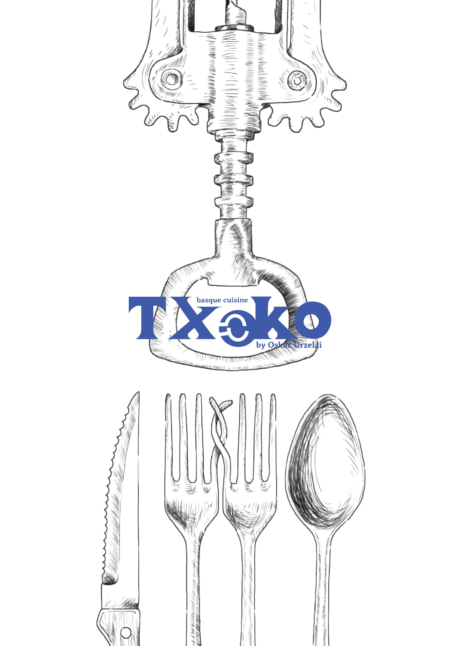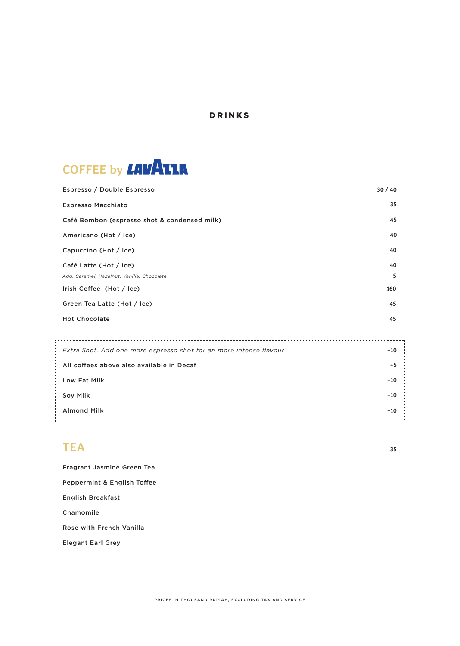#### DRINKS



| Espresso / Double Espresso                                         | 30/40 |
|--------------------------------------------------------------------|-------|
| <b>Espresso Macchiato</b>                                          | 35    |
| Café Bombon (espresso shot & condensed milk)                       | 45    |
| Americano (Hot / Ice)                                              | 40    |
| Capuccino (Hot / Ice)                                              | 40    |
| Café Latte (Hot / Ice)                                             | 40    |
| Add. Caramel, Hazelnut, Vanilla, Chocolate                         | 5     |
| Irish Coffee (Hot / Ice)                                           | 160   |
| Green Tea Latte (Hot / Ice)                                        | 45    |
| <b>Hot Chocolate</b>                                               | 45    |
|                                                                    |       |
| Extra Shot. Add one more espresso shot for an more intense flavour | $+10$ |
| All coffees above also available in Decaf                          | $+5$  |
| Low Fat Milk                                                       | $+10$ |
| Soy Milk                                                           | $+10$ |
| <b>Almond Milk</b>                                                 | $+10$ |
|                                                                    |       |

# **TEA**

**35**

Fragrant Jasmine Green Tea Peppermint & English Toffee English Breakfast Chamomile Rose with French Vanilla

Elegant Earl Grey

PRICES IN THOUSAND RUPIAH, EXCLUDING TAX AND SERVICE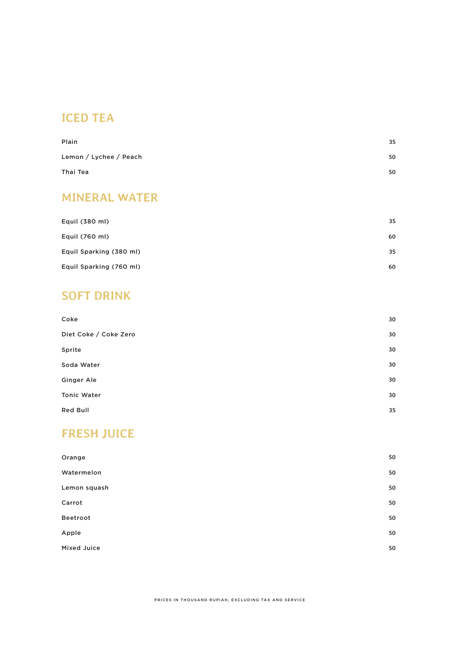# **ICED TEA**

| Plain                  | 35 |
|------------------------|----|
| Lemon / Lychee / Peach | 50 |
| Thai Tea               | 50 |

### **MINERAL WATER**

| Equil (380 ml)          | 35 |
|-------------------------|----|
| Equil (760 ml)          | 60 |
| Equil Sparking (380 ml) | 35 |
| Equil Sparking (760 ml) | 60 |

### **SOFT DRINK**

| Coke                  | 30 |
|-----------------------|----|
| Diet Coke / Coke Zero | 30 |
| Sprite                | 30 |
| Soda Water            | 30 |
| Ginger Ale            | 30 |
| <b>Tonic Water</b>    | 30 |
| <b>Red Bull</b>       | 35 |

# **FRESH JUICE**

| Orange       | 50 |
|--------------|----|
| Watermelon   | 50 |
| Lemon squash | 50 |
| Carrot       | 50 |
| Beetroot     | 50 |
| Apple        | 50 |
| Mixed Juice  | 50 |
|              |    |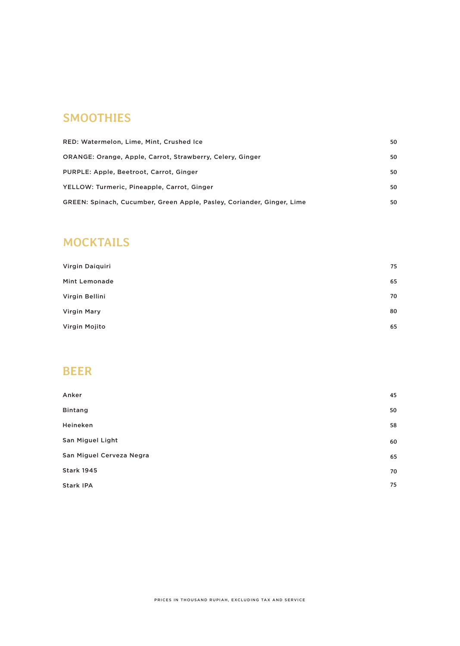### **SMOOTHIES**

| RED: Watermelon, Lime, Mint, Crushed Ice                               | 50 |
|------------------------------------------------------------------------|----|
| ORANGE: Orange, Apple, Carrot, Strawberry, Celery, Ginger              | 50 |
| PURPLE: Apple, Beetroot, Carrot, Ginger                                | 50 |
| YELLOW: Turmeric, Pineapple, Carrot, Ginger                            | 50 |
| GREEN: Spinach, Cucumber, Green Apple, Pasley, Coriander, Ginger, Lime | 50 |

### **MOCKTAILS**

| Virgin Daiquiri    | 75 |
|--------------------|----|
| Mint Lemonade      | 65 |
| Virgin Bellini     | 70 |
| <b>Virgin Mary</b> | 80 |
| Virgin Mojito      | 65 |

### **BEER**

| Anker                    | 45 |
|--------------------------|----|
| <b>Bintang</b>           | 50 |
| Heineken                 | 58 |
| San Miguel Light         | 60 |
| San Miguel Cerveza Negra | 65 |
| <b>Stark 1945</b>        | 70 |
| Stark IPA                | 75 |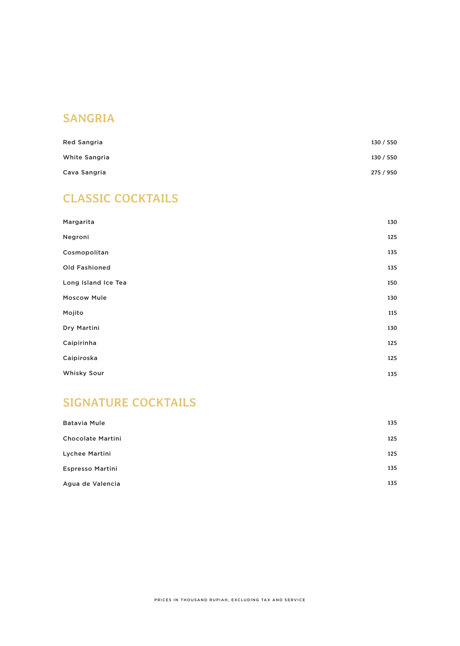# **SANGRIA**

| <b>Red Sangria</b> | 130 / 550 |
|--------------------|-----------|
| White Sangria      | 130 / 550 |
| Cava Sangria       | 275 / 950 |

# **CLASSIC COCKTAILS**

| Margarita           | 130 |
|---------------------|-----|
| Negroni             | 125 |
| Cosmopolitan        | 135 |
| Old Fashioned       | 135 |
| Long Island Ice Tea | 150 |
| <b>Moscow Mule</b>  | 130 |
| Mojito              | 115 |
| Dry Martini         | 130 |
| Caipirinha          | 125 |
| Caipiroska          | 125 |
| Whisky Sour         | 135 |

# **SIGNATURE COCKTAILS**

| <b>Batavia Mule</b>      | 135 |
|--------------------------|-----|
| <b>Chocolate Martini</b> | 125 |
| Lychee Martini           | 125 |
| <b>Espresso Martini</b>  | 135 |
| Agua de Valencia         | 135 |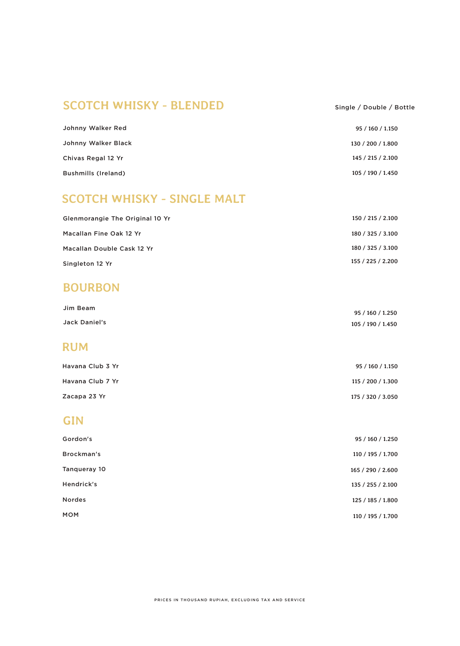### **SCOTCH WHISKY - BLENDED**

#### Single / Double / Bottle

| Johnny Walker Red          | 95 / 160 / 1.150  |
|----------------------------|-------------------|
| Johnny Walker Black        | 130 / 200 / 1.800 |
| Chivas Regal 12 Yr         | 145 / 215 / 2.100 |
| <b>Bushmills (Ireland)</b> | 105 / 190 / 1.450 |

### **SCOTCH WHISKY - SINGLE MALT**

| Glenmorangie The Original 10 Yr | 150 / 215 / 2.100 |
|---------------------------------|-------------------|
| Macallan Fine Oak 12 Yr         | 180 / 325 / 3.100 |
| Macallan Double Cask 12 Yr      | 180 / 325 / 3.100 |
| Singleton 12 Yr                 | 155 / 225 / 2.200 |

#### **BOURBON**

| Jim Beam             | 95 / 160 / 1.250  |
|----------------------|-------------------|
| <b>Jack Daniel's</b> | 105 / 190 / 1.450 |
| <b>RUM</b>           |                   |

| Havana Club 3 Yr | 95 / 160 / 1.150  |
|------------------|-------------------|
| Havana Club 7 Yr | 115 / 200 / 1.300 |
| Zacapa 23 Yr     | 175 / 320 / 3.050 |

### **GIN**

| Gordon's      | 95 / 160 / 1.250  |
|---------------|-------------------|
| Brockman's    | 110 / 195 / 1.700 |
| Tangueray 10  | 165 / 290 / 2.600 |
| Hendrick's    | 135 / 255 / 2.100 |
| <b>Nordes</b> | 125 / 185 / 1.800 |
| <b>MOM</b>    | 110 / 195 / 1.700 |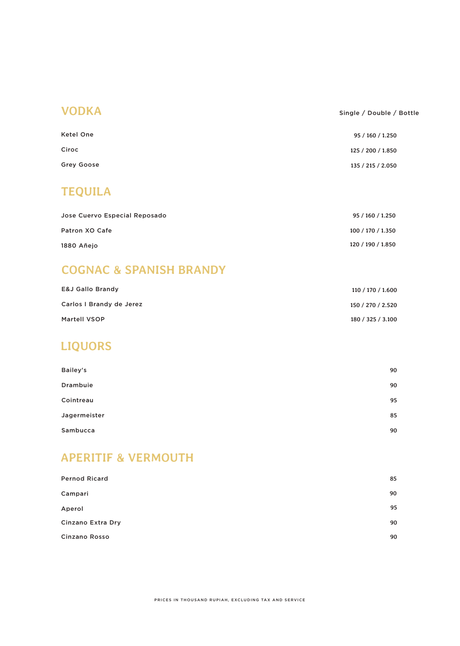#### **VODKA** Single / Double / Bottle

| Ketel One  | 95 / 160 / 1.250  |
|------------|-------------------|
| Ciroc      | 125 / 200 / 1.850 |
| Grey Goose | 135 / 215 / 2.050 |

### **TEQUILA**

| Jose Cuervo Especial Reposado | 95 / 160 / 1.250  |
|-------------------------------|-------------------|
| Patron XO Cafe                | 100 / 170 / 1.350 |
| 1880 Añeio                    | 120 / 190 / 1.850 |

### **COGNAC & SPANISH BRANDY**

| <b>E&amp;J Gallo Brandy</b> | 110 / 170 / 1.600 |
|-----------------------------|-------------------|
| Carlos I Brandy de Jerez    | 150 / 270 / 2.520 |
| <b>Martell VSOP</b>         | 180 / 325 / 3.100 |

### **LIQUORS**

| Bailey's        | 90 |
|-----------------|----|
| <b>Drambuie</b> | 90 |
| Cointreau       | 95 |
| Jagermeister    | 85 |
| Sambucca        | 90 |

### **APERITIF & VERMOUTH**

| <b>Pernod Ricard</b> | 85 |
|----------------------|----|
| Campari              | 90 |
| Aperol               | 95 |
| Cinzano Extra Dry    | 90 |
| Cinzano Rosso        | 90 |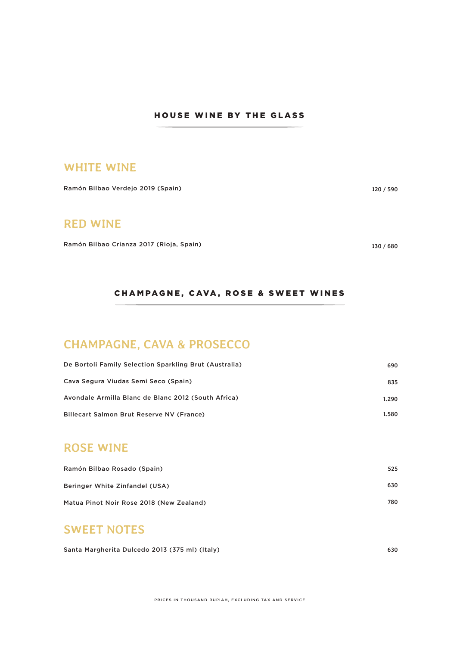#### HOUSE WINE BY THE GLASS

#### **WHITE WINE**

Ramón Bilbao Verdejo 2019 (Spain)

#### **RED WINE**

Ramón Bilbao Crianza 2017 (Rioja, Spain)

**130 / 680**

**120 / 590**

#### CHAMPAGNE, CAVA, ROSE & SWEET WINES

### **CHAMPAGNE, CAVA & PROSECCO**

| De Bortoli Family Selection Sparkling Brut (Australia) | 690   |
|--------------------------------------------------------|-------|
| Cava Segura Viudas Semi Seco (Spain)                   | 835   |
| Avondale Armilla Blanc de Blanc 2012 (South Africa)    | 1.290 |
| Billecart Salmon Brut Reserve NV (France)              | 1.580 |

#### **ROSE WINE**

| Ramón Bilbao Rosado (Spain)              | 525 |
|------------------------------------------|-----|
| Beringer White Zinfandel (USA)           | 630 |
| Matua Pinot Noir Rose 2018 (New Zealand) | 780 |

#### **SWEET NOTES**

Santa Margherita Dulcedo 2013 (375 ml) (Italy) **630**

PRICES IN THOUSAND RUPIAH, EXCLUDING TAX AND SERVICE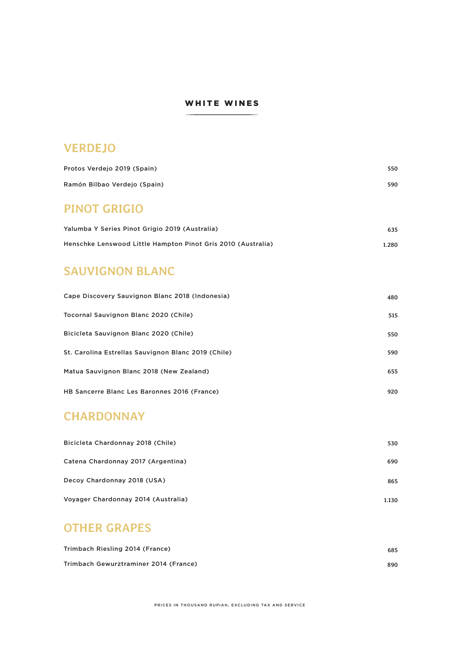#### WHITE WINES

### **VERDEJO**

| Protos Verdejo 2019 (Spain)  | 550 |
|------------------------------|-----|
| Ramón Bilbao Verdejo (Spain) | 590 |

### **PINOT GRIGIO**

| Yalumba Y Series Pinot Grigio 2019 (Australia)               | 635   |
|--------------------------------------------------------------|-------|
| Henschke Lenswood Little Hampton Pinot Gris 2010 (Australia) | 1.280 |

### **SAUVIGNON BLANC**

| Cape Discovery Sauvignon Blanc 2018 (Indonesia)     | 480 |
|-----------------------------------------------------|-----|
| Tocornal Sauvignon Blanc 2020 (Chile)               | 515 |
| Bicicleta Sauvignon Blanc 2020 (Chile)              | 550 |
| St. Carolina Estrellas Sauvignon Blanc 2019 (Chile) | 590 |
| Matua Sauvignon Blanc 2018 (New Zealand)            | 655 |
| HB Sancerre Blanc Les Baronnes 2016 (France)        | 920 |

### **CHARDONNAY**

| Bicicleta Chardonnay 2018 (Chile)   | 530   |
|-------------------------------------|-------|
| Catena Chardonnay 2017 (Argentina)  | 690   |
| Decoy Chardonnay 2018 (USA)         | 865   |
| Voyager Chardonnay 2014 (Australia) | 1.130 |

### **OTHER GRAPES**

| Trimbach Riesling 2014 (France)       | 685 |
|---------------------------------------|-----|
| Trimbach Gewurztraminer 2014 (France) | 890 |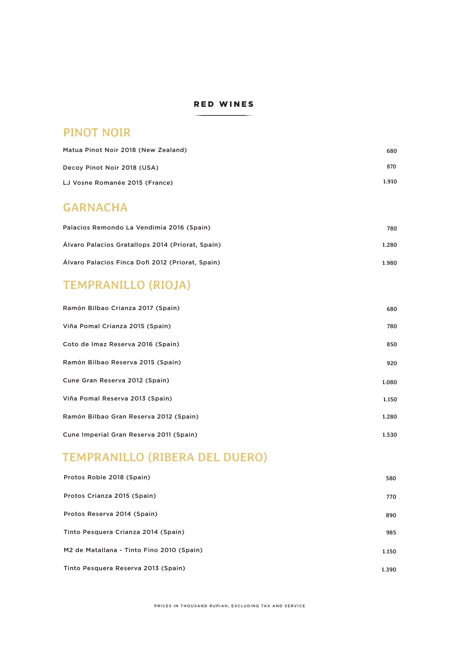#### RED WINES

#### **PINOT NOIR**

| Matua Pinot Noir 2018 (New Zealand) | 680   |
|-------------------------------------|-------|
| Decoy Pinot Noir 2018 (USA)         | 870   |
| LJ Vosne Romanée 2015 (France)      | 1.910 |

### **GARNACHA**

| Palacios Remondo La Vendimia 2016 (Spain)        | 780   |
|--------------------------------------------------|-------|
| Alvaro Palacios Gratallops 2014 (Priorat, Spain) | 1.280 |
| Alvaro Palacios Finca Dofi 2012 (Priorat, Spain) | 1.980 |

# **TEMPRANILLO (RIOJA)**

| Ramón Bilbao Crianza 2017 (Spain)       | 680   |
|-----------------------------------------|-------|
| Viña Pomal Crianza 2015 (Spain)         | 780   |
| Coto de Imaz Reserva 2016 (Spain)       | 850   |
| Ramón Bilbao Reserva 2015 (Spain)       | 920   |
| Cune Gran Reserva 2012 (Spain)          | 1.080 |
| Viña Pomal Reserva 2013 (Spain)         | 1.150 |
| Ramón Bilbao Gran Reserva 2012 (Spain)  | 1.280 |
| Cune Imperial Gran Reserva 2011 (Spain) | 1.530 |

# **TEMPRANILLO (RIBERA DEL DUERO)**

| Protos Roble 2018 (Spain)                 | 580   |
|-------------------------------------------|-------|
| Protos Crianza 2015 (Spain)               | 770   |
| Protos Reserva 2014 (Spain)               | 890   |
| Tinto Pesquera Crianza 2014 (Spain)       | 985   |
| M2 de Matallana - Tinto Fino 2010 (Spain) | 1.150 |
| Tinto Pesquera Reserva 2013 (Spain)       | 1.390 |